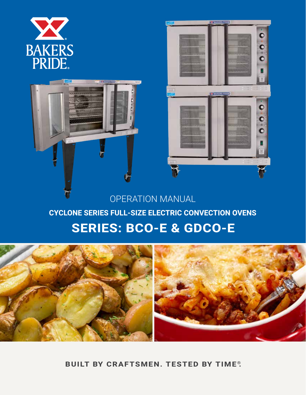





## OPERATION MANUAL

### **CYCLONE SERIES FULL-SIZE ELECTRIC CONVECTION OVENS**

# **SERIES: BCO-E & GDCO-E**



**BUILT BY CRAFTSMEN. TESTED BY TIME®.**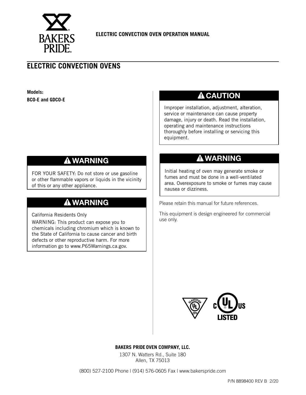

### **ELECTRIC CONVECTION OVENS**

**Models: BCO-E and GDCO-E**

### **A** CAUTION

Improper installation, adjustment, alteration, service or maintenance can cause property damage, injury or death. Read the installation, operating and maintenance instructions thoroughly before installing or servicing this equipment.

### **WARNING**

FOR YOUR SAFETY: Do not store or use gasoline or other flammable vapors or liquids in the vicinity of this or any other appliance.

### **WARNING**

California Residents Only

WARNING: This product can expose you to chemicals including chromium which is known to the State of California to cause cancer and birth defects or other reproductive harm. For more information go to www.P65Warnings.ca.gov.

### **WARNING**

Initial heating of oven may generate smoke or fumes and must be done in a well-ventilated area. Overexposure to smoke or fumes may cause nausea or dizziness.

Please retain this manual for future references.

This equipment is design engineered for commercial use only.



**BAKERS PRIDE OVEN COMPANY, LLC.**

1307 N. Watters Rd., Suite 180 Allen, TX 75013

(800) 527-2100 Phone | (914) 576-0605 Fax | www.bakerspride.com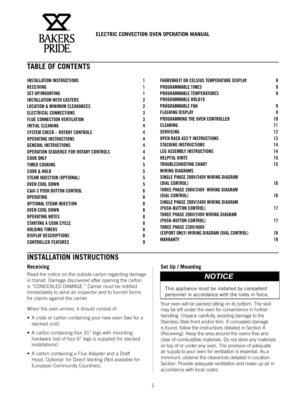

### **TABLE OF CONTENTS**

| INSTALLATION INSTRUCTIONS                     |   | FAHRENHEIT OR CELSIUS TEMPERATURE DISPLAY   | 9  |
|-----------------------------------------------|---|---------------------------------------------|----|
| <b>RECEIVING</b>                              |   | <b>PROGRAMMABLE TIMES</b>                   | 9  |
| SET-UP/MOUNTING                               |   | <b>PROGRAMMABLE TEMPERATURES</b>            | 9  |
| <b>INSTALLATION WITH CASTERS</b>              |   | <b>PROGRAMMABLE HOLD19</b>                  |    |
| <b>LOCATION &amp; MINIMUM CLEARANCES</b>      |   | <b>PROGRAMMABLE FAN</b>                     | 9  |
| <b>ELECTRICAL CONNECTIONS</b>                 | 3 | <b>FLASHING DISPLAY</b>                     | 9  |
| <b>FLUE CONNECTION VENTILATION</b>            | 3 | <b>PROGRAMMING THE OVEN CONTROLLER</b>      | 10 |
| <b>INITIAL CLEANING</b>                       |   | <b>CLEANING</b>                             | 11 |
| <b>SYSTEM CHECK - ROTARY CONTROLS</b>         | 4 | <b>SERVICING</b>                            | 12 |
| <b>OPERATING INSTRUCTIONS</b>                 | 4 | <b>OPEN RACK ASS'Y INSTRUCTIONS</b>         | 13 |
| <b>GENERAL INSTRUCTIONS</b>                   | 4 | <b>STACKING INSTRUCTIONS</b>                | 14 |
| <b>OPERATION SEQUENCE FOR ROTARY CONTROLS</b> | 4 | <b>LEG ASSEMBLY INSTRUCTIONS</b>            | 14 |
| COOK ONLY                                     | 4 | <b>HELPFUL HINTS</b>                        | 15 |
| TIMED COOKING                                 | 5 | TROUBLESHOOTING CHART                       | 15 |
| COOK & HOLD                                   | 5 | <b>WIRING DIAGRAMS</b>                      |    |
| STEAM INJECTION (OPTIONAL)                    | 5 | SINGLE PHASE 208V/240V WIRING DIAGRAM       |    |
| OVEN COOL DOWN                                |   | (DIAL CONTROL)                              | 16 |
| <b>C&amp;H-3 PUSH BUTTON CONTROL</b>          | 6 | THREE PHASE 208V/240V WIRING DIAGRAM        |    |
| <b>OPERATING</b>                              |   | (DIAL CONTROL)                              | 16 |
| OPTIONAL STEAM INJECTION                      |   | SINGLE PHASE 208V/240V WIRING DIAGRAM       |    |
| OVEN COOL DOWN                                |   | (PUSH-BUTTON CONTROL)                       | 17 |
| <b>OPERATING NOTES</b>                        | 8 | THREE PHASE 208V/240V WIRING DIAGRAM        |    |
| STARTING A COOK CYCLE                         | 8 | (PUSH-BUTTON CONTROL)                       | 17 |
| <b>HOLDING TIMERS</b>                         | 8 | THREE PHASE 230V/400V                       |    |
| <b>DISPLAY DESCRIPTIONS</b>                   | 8 | (EXPORT ONLY) WIRING DIAGRAM (DIAL CONTROL) | 18 |
| <b>CONTROLLER FEATURES</b>                    | 9 | <b>WARRANTY</b>                             | 19 |

### **INSTALLATION INSTRUCTIONS**

#### **Receiving**

Read the notice on the outside carton regarding damage in transit. Damage discovered after opening the carton is "CONCEALED DAMAGE." Carrier must be notified immediately to send an inspector and to furnish forms for claims against the carrier.

When the oven arrives, it should consist of:

- A crate or carton containing your new oven (two for a stacked unit).
- A carton containing four 31" legs with mounting hardware (set of four 6" legs is supplied for stacked installations).
- A carton containing a Flue Adapter and a Draft Hood. Optional: for Direct Venting (Not available for European Community Countries).

#### **Set Up / Mounting**

### *NOTICE*

This appliance must be installed by competent personnel in accordance with the rules in force.

Your oven will be packed sitting on its bottom. The skid may be left under the oven for convenience in further handling. Unpack carefully, avoiding damage to the Stainless Steel front and/or trim. If concealed damage is found, follow the instructions detailed in Section A (Receiving). Keep the area around the ovens free and clear of combustible materials. Do not store any materials on top of or under any oven. The provision of adequate air supply to your oven for ventilation is essential. As a minimum, observe the clearances detailed in Location Section. Provide adequate ventilation and make up air in accordance with local codes.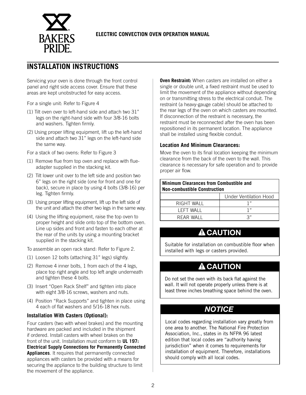

### **INSTALLATION INSTRUCTIONS**

Servicing your oven is done through the front control panel and right side access cover. Ensure that these areas are kept unobstructed for easy access.

For a single unit: Refer to Figure 4

- (1) Tilt oven over to left-hand side and attach two 31" legs on the right-hand side with four 3/8-16 bolts and washers. Tighten firmly.
- (2) Using proper lifting equipment, lift up the left-hand side and attach two 31" legs on the left-hand side the same way.

For a stack of two ovens: Refer to Figure 3

- (1) Remove flue from top oven and replace with flueadapter supplied in the stacking kit.
- (2) Tilt lower unit over to the left side and position two 6" legs on the right side (one for front and one for back), secure in place by using 4 bolts (3/8-16) per leg. Tighten firmly.
- (3) Using proper lifting equipment, lift up the left side of the unit and attach the other two legs in the same way.
- (4) Using the lifting equipment, raise the top oven to proper height and slide onto top of the bottom oven. Line up sides and front and fasten to each other at the rear of the units by using a mounting bracket supplied in the stacking kit.

To assemble an open rack stand: Refer to Figure 2.

- (1) Loosen 12 bolts (attaching 31" legs) slightly.
- (2) Remove 4 inner bolts, 1 from each of the 4 legs, place top right angle and top left angle underneath and tighten these 4 bolts.
- (3) Insert "Open Rack Shelf" and tighten into place with eight 3/8-16 screws, washers and nuts.
- (4) Position "Rack Supports" and tighten in place using 4 each of flat washers and 5/16-18 hex nuts.

#### **Installation With Casters (Optional):**

Four casters (two with wheel brakes) and the mounting hardware are packed and included in the shipment if ordered. Install casters with wheel brakes on the front of the unit. Installation must conform to **UL 197: Electrical Supply Connections for Permanently Connected Appliances**. It requires that permanently connected appliances with casters be provided with a means for securing the appliance to the building structure to limit the movement of the appliance.

**Oven Restraint:** When casters are installed on either a single or double unit, a fixed restraint must be used to limit the movement of the appliance without depending on or transmitting stress to the electrical conduit. The restraint (a heavy-gauge cable) should be attached to the rear legs of the oven on which casters are mounted. If disconnection of the restraint is necessary, the restraint must be reconnected after the oven has been repositioned in its permanent location. The appliance shall be installed using flexible conduit.

#### **Location And Minimum Clearances:**

Move the oven to its final location keeping the minimum clearance from the back of the oven to the wall. This clearance is necessary for safe operation and to provide proper air flow.

| <b>Minimum Clearances from Combustible and</b><br><b>Non-combustible Construction</b> |      |  |  |  |
|---------------------------------------------------------------------------------------|------|--|--|--|
| Under Ventilation Hood                                                                |      |  |  |  |
| RIGHT WALL                                                                            | יי 1 |  |  |  |
| LEFT WALL                                                                             | יי 1 |  |  |  |
| יי 2<br>RFAR WALL                                                                     |      |  |  |  |

### **A** CAUTION

Suitable for installation on combustible floor when installed with legs or casters provided.

### **A** CAUTION

Do not set the oven with its back flat against the wall. It will not operate properly unless there is at least three inches breathing space behind the oven.

### *NOTICE*

Local codes regarding installation vary greatly from one area to another. The National Fire Protection Association, Inc., states in its NFPA 96 latest edition that local codes are "authority having jurisdiction" when it comes to requirements for installation of equipment. Therefore, installations should comply with all local codes.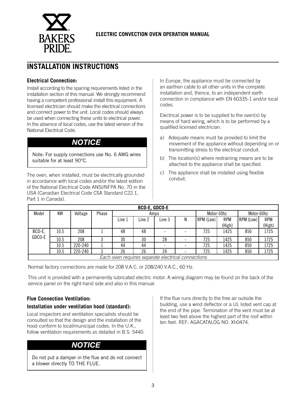

### **INSTALLATION INSTRUCTIONS**

#### **Electrical Connection:**

Install according to the spacing requirements listed in the installation section of this manual. We strongly recommend having a competent professional install this equipment. A licensed electrician should make the electrical connections and connect power to the unit. Local codes should always be used when connecting these units to electrical power. In the absence of local codes, use the latest version of the National Electrical Code.

### *NOTICE*

Note: For supply connections use No. 6 AWG wires suitable for at least 90°C.

The oven, when installed, must be electrically grounded in accordance with local codes and/or the latest edition of the National Electrical Code ANSI/NFPA No. 70 in the USA (Canadian Electrical Code CSA Standard C22.1, Part 1 in Canada).

In Europe, the appliance must be connected by an earthen cable to all other units in the complete installation and, thence, to an independent earth connection in compliance with EN 60335-1 and/or local codes.

Electrical power is to be supplied to the oven(s) by means of hard wiring, which is to be performed by a qualified licensed electrician.

- a) Adequate means must be provided to limit the movement of the appliance without depending on or transmitting stress to the electrical conduit.
- b) The location(s) where restraining means are to be attached to the appliance shall be specified.
- c) The appliance shall be installed using flexible conduit.

|        | BCO-E, GDCO-E                                      |         |       |        |        |        |            |           |            |           |            |
|--------|----------------------------------------------------|---------|-------|--------|--------|--------|------------|-----------|------------|-----------|------------|
| Model  | ΚW                                                 | Voltage | Phase | Amps   |        |        | Motor-50hz |           | Motor-60hz |           |            |
|        |                                                    |         |       | Line 1 | Line 2 | Line 3 | Ν          | RPM (Low) | <b>RPM</b> | RPM (Low) | <b>RPM</b> |
|        |                                                    |         |       |        |        |        |            |           | (High)     |           | (High)     |
| BCO-E, | 10.5                                               | 208     |       | 48     | 48     |        |            | 725       | 1425       | 850       | 1725       |
| GDCO-E | 10.5                                               | 208     |       | 30     | 30     | 28     |            | 725       | 1425       | 850       | 1725       |
|        | 10.5                                               | 220-240 |       | 44     | 44     |        |            | 725       | 1425       | 850       | 1725       |
|        | 10.5                                               | 220-240 |       | 26     | 26     | 24     |            | 725       | 1425       | 850       | 1725       |
|        | Each oven requires separate electrical connections |         |       |        |        |        |            |           |            |           |            |

Normal factory connections are made for 208 V.A.C. or 208/240 V.A.C., 60 Hz.

This unit is provided with a permanently lubricated electric motor. A wiring diagram may be found on the back of the service panel on the right-hand side and also in this manual.

#### **Flue Connection Ventilation:**

#### **Installation under ventilation hood (standard):**

Local inspectors and ventilation specialists should be consulted so that the design and the installation of the hood conform to local/municipal codes. In the U.K., follow ventilation requirements as detailed in B.S. 5440.

### *NOTICE*

Do not put a damper in the flue and do not connect a blower directly TO THE FLUE.

If the flue runs directly to the free air outside the building, use a wind deflector or a UL listed vent cap at the end of the pipe. Termination of the vent must be at least two feet above the highest part of the roof within ten feet. REF: AGACATALOG NO. Xh0474.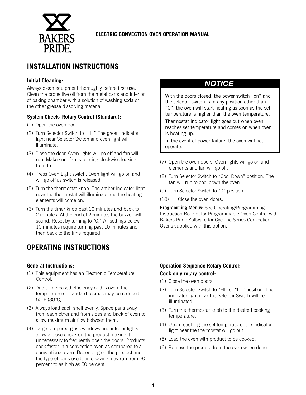

### **INSTALLATION INSTRUCTIONS**

#### **Initial Cleaning:**

Always clean equipment thoroughly before first use. Clean the protective oil from the metal parts and interior of baking chamber with a solution of washing soda or the other grease dissolving material.

#### **System Check- Rotary Control (Standard):**

- (1) Open the oven door.
- (2) Turn Selector Switch to "HI." The green indicator light near Selector Switch and oven light will illuminate.
- (3) Close the door. Oven lights will go off and fan will run. Make sure fan is rotating clockwise looking from front.
- (4) Press Oven Light switch. Oven light will go on and will go off as switch is released.
- (5) Turn the thermostat knob. The amber indicator light near the thermostat will illuminate and the heating elements will come on.
- (6) Turn the timer knob past 10 minutes and back to 2 minutes. At the end of 2 minutes the buzzer will sound. Reset by turning to "0." All settings below 10 minutes require turning past 10 minutes and then back to the time required.

### **OPERATING INSTRUCTIONS**

#### **General Instructions:**

- (1) This equipment has an Electronic Temperature Control.
- (2) Due to increased efficiency of this oven, the temperature of standard recipes may be reduced 50°F (30°C).
- (3) Always load each shelf evenly. Space pans away from each other and from sides and back of oven to allow maximum air flow between them.
- (4) Large tempered glass windows and interior lights allow a close check on the product making it unnecessary to frequently open the doors. Products cook faster in a convection oven as compared to a conventional oven. Depending on the product and the type of pans used, time saving may run from 20 percent to as high as 50 percent.

### *NOTICE*

With the doors closed, the power switch "on" and the selector switch is in any position other than "0", the oven will start heating as soon as the set temperature is higher than the oven temperature.

Thermostat indicator light goes out when oven reaches set temperature and comes on when oven is heating up.

In the event of power failure, the oven will not operate.

- (7) Open the oven doors. Oven lights will go on and elements and fan will go off.
- (8) Turn Selector Switch to "Cool Down" position. The fan will run to cool down the oven.
- (9) Turn Selector Switch to "0" position.
- (10) Close the oven doors.

**Programming Menus:** See Operating/Programming Instruction Booklet for Programmable Oven Control with Bakers Pride Software for Cyclone Series Convection Ovens supplied with this option.

#### **Operation Sequence Rotary Control: Cook only rotary control:**

- (1) Close the oven doors.
- (2) Turn Selector Switch to "HI" or "LO" position. The indicator light near the Selector Switch will be illuminated.
- (3) Turn the thermostat knob to the desired cooking temperature.
- (4) Upon reaching the set temperature, the indicator light near the thermostat will go out.
- (5) Load the oven with product to be cooked.
- (6) Remove the product from the oven when done.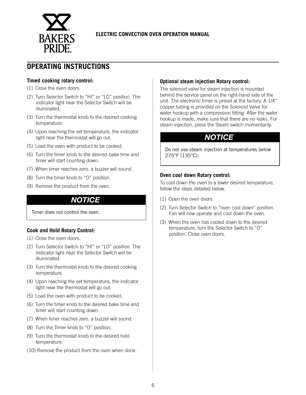

### **OPERATING INSTRUCTIONS**

#### **Timed cooking rotary control:**

- (1) Close the oven doors.
- (2) Turn Selector Switch to "HI" or "LO" position. The indicator light near the Selector Switch will be illuminated.
- (3) Turn the thermostat knob to the desired cooking temperature.
- (4) Upon reaching the set temperature, the indicator light near the thermostat will go out.
- (5) Load the oven with product to be cooked.
- (6) Turn the timer knob to the desired bake time and timer will start counting down.
- (7) When timer reaches zero, a buzzer will sound.
- (8) Turn the timer knob to "O" position.
- (9) Remove the product from the oven.

### *NOTICE*

Timer does not control the oven.

#### **Cook and Hold Rotary Control:**

- (1) Close the oven doors.
- (2) Turn Selector Switch to "HI" or "LO" position. The indicator light near the Selector Switch will be illuminated.
- (3) Turn the thermostat knob to the desired cooking temperature.
- (4) Upon reaching the set temperature, the indicator light near the thermostat will go out.
- (5) Load the oven with product to be cooked.
- (6) Turn the timer knob to the desired bake time and timer will start counting down.
- (7) When timer reaches zero, a buzzer will sound.
- (8) Turn the Timer knob to "O" position.
- (9) Turn the thermostat knob to the desired hold temperature.
- (10) Remove the product from the oven when done.

#### **Optional steam injection Rotary control:**

The solenoid valve for steam injection is mounted behind the service panel on the right-hand side of the unit. The electronic timer is preset at the factory. A 1/4" copper tubing is provided on the Solenoid Valve for water hookup with a compression fitting. After the water hookup is made, make sure that there are no leaks. For steam injection, press the Steam switch momentarily.

### *NOTICE*

Do not use steam injection at temperatures below 275°F (135°C).

#### **Oven cool down Rotary control:**

To cool down the oven to a lower desired temperature, follow the steps detailed below.

- (1) Open the oven doors.
- (2) Turn Selector Switch to "oven cool down" position. Fan will now operate and cool down the oven.
- (3) When the oven has cooled down to the desired temperature, turn the Selector Switch to "O" position. Close oven doors.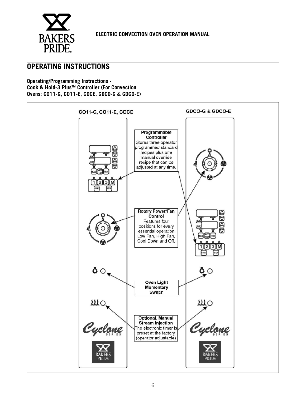

### **OPERATING INSTRUCTIONS**

**Operating/Programming Instructions - Cook & Hold-3 PlusTM Controller (For Convection Ovens: CO11-G, CO11-E, COCE, GDCO-G & GDCO-E)**

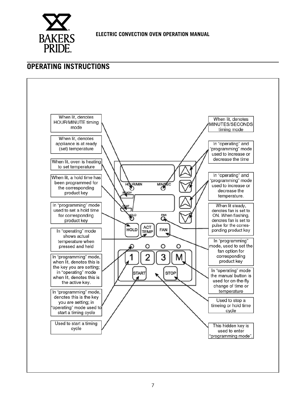

### **OPERATING INSTRUCTIONS**

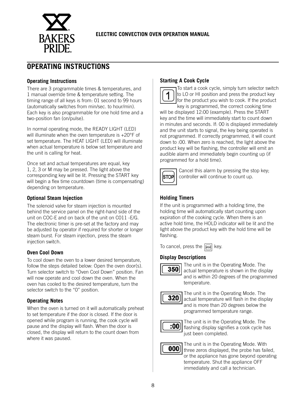

### **OPERATING INSTRUCTIONS**

#### **Operating Instructions**

There are 3 programmable times & temperatures, and 1 manual override time & temperature setting. The timing range of all keys is from: 01 second to 99 hours (automatically switches from min/sec. to hour/min). Each key is also programmable for one hold time and a two-position fan (on/pulse).

In normal operating mode, the READY LIGHT (LED) will illuminate when the oven temperature is +20°F of set temperature. The HEAT LIGHT (LED) will illuminate when actual temperature is below set temperature and the unit is calling for heat.

Once set and actual temperatures are equal, key 1, 2, 3 or M may be pressed. The light above the corresponding key will be lit. Pressing the START key will begin a flex time countdown (time is compensating) depending on temperature.

#### **Optional Steam Injection**

The solenoid valve for steam injection is mounted behind the service panel on the right-hand side of the unit on COC-E and on back of the unit on C011 -E/G. The electronic timer is pre-set at the factory and may be adjusted by operator if required for shorter or longer steam burst. For steam injection, press the steam injection switch.

#### **Oven Cool Down**

To cool down the oven to a lower desired temperature, follow the steps detailed below: Open the oven door(s). Turn selector switch to "Oven Cool Down" position. Fan will now operate and cool down the oven. When the oven has cooled to the desired temperature, turn the selector switch to the "0" position.

#### **Operating Notes**

When the oven is turned on it will automatically preheat to set temperature if the door is closed. If the door is opened while program is running, the cook cycle will pause and the display will flash. When the door is closed, the display will return to the count down from where it was paused.

#### **Starting A Cook Cycle**

To start a cook cycle, simply turn selector switch to LO or HI position and press the product key for the product you wish to cook. If the product key is programmed, the correct cooking time will be displayed 12:00 (example). Press the START key and the time will immediately start to count down in minutes and seconds. If: 00 is displayed immediately and the unit starts to signal, the key being operated is not programmed. If correctly programmed, it will count down to :00. When zero is reached, the light above the product key will be flashing, the controller will emit an audible alarm and immediately begin counting up (if programmed for a hold time).



Cancel this alarm by pressing the stop key; controller will continue to count up.

#### **Holding Timers**

If the unit is programmed with a holding time, the holding time will automatically start counting upon expiration of the cooking cycle. When there is an active hold time, the HOLD indicator will be lit and the light above the product key with the hold time will be flashing.

To cancel, press the  $\boxed{\overline{\text{mod}}}$  key.

#### **Display Descriptions**



The unit is in the Operating Mode. The actual temperature is shown in the display and is within 20 degrees of the programmed temperature.



The unit is in the Operating Mode. The actual temperature will flash in the display and is more than 20 degrees below the programmed temperature range.



The unit is in the Operating Mode. The flashing display signifies a cook cycle has just been completed.



The unit is in the Operating Mode. With three zeros displayed, the probe has failed, or the appliance has gone beyond operating temperature. Shut the appliance OFF immediately and call a technician.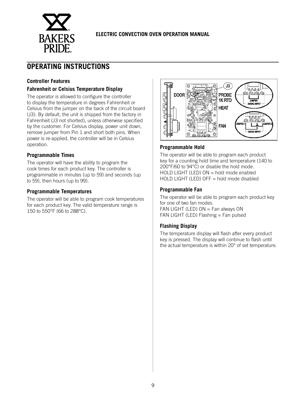

### **OPERATING INSTRUCTIONS**

#### **Controller Features**

#### **Fahrenheit or Celsius Temperature Display**

The operator is allowed to configure the controller to display the temperature in degrees Fahrenheit or Celsius from the jumper on the back of the circuit board (J3). By default, the unit is shipped from the factory in Fahrenheit (J3 not shorted), unless otherwise specified by the customer. For Celsius display, power unit down, remove jumper from Pin 1 and short both pins. When power is re-applied, the controller will be in Celsius operation.

#### **Programmable Times**

The operator will have the ability to program the cook times for each product key. The controller is programmable in minutes (up to 59) and seconds (up to 59), then hours (up to 99).

#### **Programmable Temperatures**

The operator will be able to program cook temperatures for each product key. The valid temperature range is 150 to 550°F (66 to 288°C).



#### **Programmable Hold**

The operator will be able to program each product key for a counting hold time and temperature (140 to 200°F/60 to 94°C) or disable the hold mode. HOLD LIGHT (LED)  $ON = hold$  mode enabled HOLD LIGHT (LED) OFF = hold mode disabled

#### **Programmable Fan**

The operator will be able to program each product key for one of two fan modes. FAN LIGHT (LED)  $ON = Fan$  always ON FAN LIGHT (LED) Flashing  $=$  Fan pulsed

#### **Flashing Display**

The temperature display will flash after every product key is pressed. The display will continue to flash until the actual temperature is within 20° of set temperature.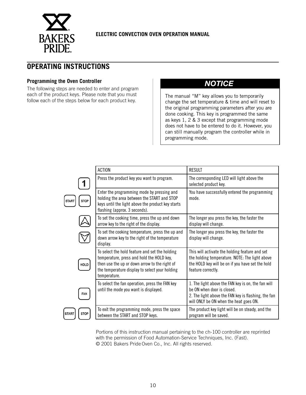

### **OPERATING INSTRUCTIONS**

#### **Programming the Oven Controller**

The following steps are needed to enter and program each of the product keys. Please note that you must each of the product keys. Please note that you must<br>follow each of the steps below for each product key.<br>change the set temperature & time and will res

### *NOTICE*

change the set temperature & time and will reset to the original programming parameters after you are done cooking. This key is programmed the same as keys 1, 2 & 3 except that programming mode does not have to be entered to do it. However, you can still manually program the controller while in programming mode.

|                             | <b>ACTION</b>                                                                                                                                                                                                  | <b>RESULT</b>                                                                                                                                                                     |
|-----------------------------|----------------------------------------------------------------------------------------------------------------------------------------------------------------------------------------------------------------|-----------------------------------------------------------------------------------------------------------------------------------------------------------------------------------|
|                             | Press the product key you want to program.                                                                                                                                                                     | The corresponding LED will light above the<br>selected product key.                                                                                                               |
|                             | Enter the programming mode by pressing and<br>holding the area between the START and STOP<br>keys until the light above the product key starts<br>flashing (approx. 3 seconds).                                | You have successfully entered the programming<br>mode.                                                                                                                            |
|                             | To set the cooking time, press the up and down<br>arrow key to the right of the display.                                                                                                                       | The longer you press the key, the faster the<br>display will change.                                                                                                              |
|                             | To set the cooking temperature, press the up and<br>down arrow key to the right of the temperature<br>display.                                                                                                 | The longer you press the key, the faster the<br>display will change.                                                                                                              |
| <b>HOLD</b>                 | To select the hold feature and set the holding<br>temperature, press and hold the HOLD key,<br>then use the up or down arrow to the right of<br>the temperature display to select your holding<br>temperature. | This will activate the holding feature and set<br>the holding temperature. NOTE: The light above<br>the HOLD key will be on if you have set the hold<br>feature correctly.        |
| FAN                         | To select the fan operation, press the FAN key<br>until the mode you want is displayed.                                                                                                                        | 1. The light above the FAN key is on, the fan will<br>be ON when door is closed.<br>2. The light above the FAN key is flashing, the fan<br>will ONLY be ON when the heat goes ON. |
| <b>STOP</b><br><b>START</b> | To exit the programming mode, press the space<br>between the START and STOP keys.                                                                                                                              | The product key light will be on steady, and the<br>program will be saved.                                                                                                        |

Portions of this instruction manual pertaining to the ch-100 controller are reprinted with the permission of Food Automation-Service Techniques, Inc. (Fast). © 2001 Bakers PrideOven Co., Inc. All rights reserved.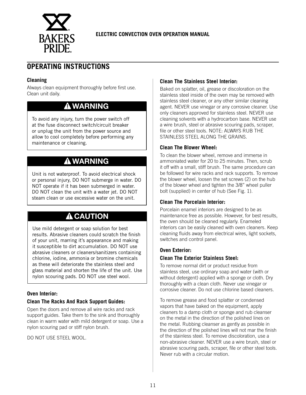

### **OPERATING INSTRUCTIONS**

#### **Cleaning**

Always clean equipment thoroughly before first use. Clean unit daily.

### **WARNING**

To avoid any injury, turn the power switch off at the fuse disconnect switch/circuit breaker or unplug the unit from the power source and allow to cool completely before performing any maintenance or cleaning.

### **WARNING**

Unit is not waterproof. To avoid electrical shock or personal injury, DO NOT submerge in water. DO NOT operate if it has been submerged in water. DO NOT clean the unit with a water jet. DO NOT steam clean or use excessive water on the unit.

### **A** CAUTION

Use mild detergent or soap solution for best results. Abrasive cleaners could scratch the finish of your unit, marring it's appearance and making it susceptible to dirt accumulation. DO NOT use abrasive cleaners or cleaners/sanitizers containing chlorine, iodine, ammonia or bromine chemicals as these will deteriorate the stainless steel and glass material and shorten the life of the unit. Use nylon scouring pads. DO NOT use steel wool.

#### **Oven Interior:**

#### **Clean The Racks And Rack Support Guides:**

Open the doors and remove all wire racks and rack support guides. Take them to the sink and thoroughly clean in warm water with mild detergent or soap. Use a nylon scouring pad or stiff nylon brush.

DO NOT USE STEEL WOOL.

#### **Clean The Stainless Steel Interior:**

Baked on splatter, oil, grease or discoloration on the stainless steel inside of the oven may be removed with stainless steel cleaner, or any other similar cleaning agent. NEVER use vinegar or any corrosive cleaner. Use only cleaners approved for stainless steel. NEVER use cleaning solvents with a hydrocarbon base. NEVER use a wire brush, steel or abrasive scouring pads, scraper, file or other steel tools. NOTE: ALWAYS RUB THE STAINLESS STEEL ALONG THE GRAINS.

#### **Clean The Blower Wheel:**

To clean the blower wheel, remove and immerse in ammoniated water for 20 to 25 minutes. Then, scrub it off with a small, stiff brush. The same procedure can be followed for wire racks and rack supports. To remove the blower wheel, loosen the set screws (2) on the hub of the blower wheel and tighten the 3/8" wheel puller bolt (supplied) in center of hub (See Fig. 1).

#### **Clean The Porcelain Interior:**

Porcelain enamel interiors are designed to be as maintenance free as possible. However, for best results, the oven should be cleaned regularly. Enameled interiors can be easily cleaned with oven cleaners. Keep cleaning fluids away from electrical wires, light sockets, switches and control panel.

#### **Oven Exterior:**

#### **Clean The Exterior Stainless Steel:**

To remove normal dirt or product residue from stainless steel, use ordinary soap and water (with or without detergent) applied with a sponge or cloth. Dry thoroughly with a clean cloth. Never use vinegar or corrosive cleaner. Do not use chlorine based cleaners.

To remove grease and food splatter or condensed vapors that have baked on the equipment, apply cleaners to a damp cloth or sponge and rub cleanser on the metal in the direction of the polished lines on the metal. Rubbing cleanser as gently as possible in the direction of the polished lines will not mar the finish of the stainless steel. To remove discoloration, use a non-abrasive cleaner. NEVER use a wire brush, steel or abrasive scouring pads, scraper, file or other steel tools. Never rub with a circular motion.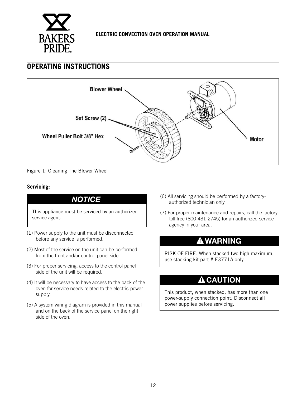

### **OPERATING INSTRUCTIONS**



Figure 1: Cleaning The Blower Wheel

#### **Servicing:**

This appliance must be serviced by an authorized service agent.

- (1) Power supply to the unit must be disconnected before any service is performed.
- (2) Most of the service on the unit can be performed from the front and/or control panel side.
- (3) For proper servicing, access to the control panel side of the unit will be required.
- (4) It will be necessary to have access to the back of the oven for service needs related to the electric power supply.
- (5) A system wiring diagram is provided in this manual and on the back of the service panel on the right side of the oven.
- **NOTICE** (6) All servicing should be performed by a factoryauthorized technician only.
	- (7) For proper maintenance and repairs, call the factory toll free (800-431-2745) for an authorized service agency in your area.

### **WARNING**

RISK OF FIRE. When stacked two high maximum, use stacking kit part # E3771A only.

### **A** CAUTION

This product, when stacked, has more than one power-supply connection point. Disconnect all power supplies before servicing.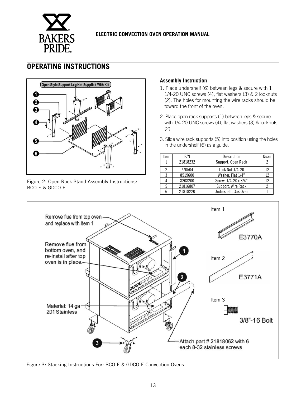

### **OPERATING INSTRUCTIONS**



Figure 2: Open Rack Stand Assembly Instructions: BCO-E & GDCO-E

#### **Assembly Instruction**

- 1. Place undershelf (6) between legs & secure with 1 1/4-20 UNC screws (4), flat washers (3) & 2 locknuts (2). The holes for mounting the wire racks should be toward the front of the oven.
- 2. Place open rack supports (1) between legs & secure with 1/4-20 UNC screws (4), flat washers (3) & locknuts (2).
- 3. Slide wire rack supports (5) into position using the holes in the undershelf (6) as a guide.

| Item | P/N      | Description          | Quan |
|------|----------|----------------------|------|
|      | 21818232 | Support, Open Rack   | 2    |
|      | 770504   | Lock Nut 1/4-20      | 12   |
| 3    | 8519600  | Washer, Flat 1/4"    | 12   |
|      | 8208200  | Screw, 1/4-20 x 3/4" | 12   |
|      | 21816807 | Support, Wire Rack   |      |
|      | 21818220 | Undershelf, Gas Oven |      |



Figure 3: Stacking Instructions For: BCO-E & GDCO-E Convection Ovens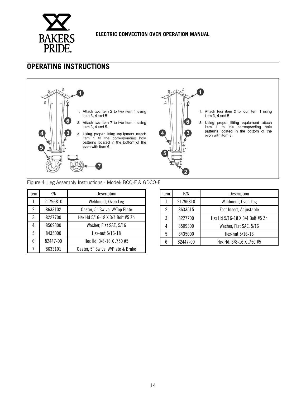

### **OPERATING INSTRUCTIONS**



#### Figure 4: Leg Assembly Instructions - Model: BCO-E & GDCO-E

| Item | P/N      | Description                       |
|------|----------|-----------------------------------|
|      | 21796810 | Weldment, Oven Leg                |
| 2    | 8633102  | Caster, 5" Swivel W/Top Plate     |
| 3    | 8227700  | Hex Hd 5/16-18 X 3/4 Bolt #5 Zn   |
| 4    | 8509300  | Washer, Flat SAE, 5/16            |
| 5    | 8435000  | Hex-nut 5/16-18                   |
| 6    | 82447-00 | Hex Hd. 3/8-16 X .750 #5          |
| 7    | 8633101  | Caster, 5" Swivel W/Plate & Brake |

| Item | P/N      | Description                     |  |
|------|----------|---------------------------------|--|
|      | 21796810 | Weldment, Oven Leg              |  |
| 2    | 8633515  | Foot Insert, Adjustable         |  |
| 3    | 8227700  | Hex Hd 5/16-18 X 3/4 Bolt #5 Zn |  |
|      | 8509300  | Washer, Flat SAE, 5/16          |  |
| 5    | 8435000  | Hex-nut 5/16-18                 |  |
|      | 82447-00 | Hex Hd. 3/8-16 X .750 #5        |  |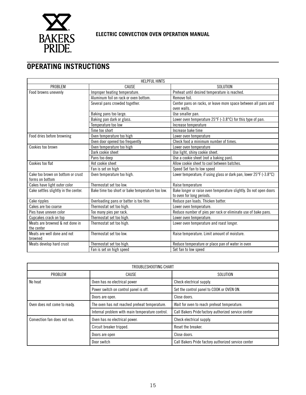

### **OPERATING INSTRUCTIONS**

| <b>HELPFUL HINTS</b>                                 |                                                  |                                                                    |  |  |  |
|------------------------------------------------------|--------------------------------------------------|--------------------------------------------------------------------|--|--|--|
| PROBLEM                                              | CAUSE                                            | SOLUTION                                                           |  |  |  |
| Food browns unevenly                                 | Improper heating temperature.                    | Preheat until desired temperature is reached.                      |  |  |  |
|                                                      | Aluminum foil on rack or oven bottom.            | Remove foil.                                                       |  |  |  |
|                                                      | Several pans crowded together.                   | Center pans on racks, or leave more space between all pans and     |  |  |  |
|                                                      |                                                  | oven walls.                                                        |  |  |  |
|                                                      | Baking pans too large.                           | Use smaller pan.                                                   |  |  |  |
|                                                      | Baking pan dark or glass.                        | Lower oven temperature 25°F (-3.8°C) for this type of pan.         |  |  |  |
|                                                      | Temperature too low                              | Increase temperature                                               |  |  |  |
|                                                      | Time too short                                   | Increase bake time                                                 |  |  |  |
| Food dries before browning                           | Oven temperature too high                        | Lower oven temperature                                             |  |  |  |
|                                                      | Oven door opened too frequently                  | Check food a minimum number of times.                              |  |  |  |
| Cookies too brown                                    | Oven temperature too high                        | Lower oven temperature                                             |  |  |  |
|                                                      | Dark cookie sheet                                | Use light, shiny cookie sheet.                                     |  |  |  |
|                                                      | Pans too deep                                    | Use a cookie sheet (not a baking pan).                             |  |  |  |
| Cookies too flat                                     | Hot cookie sheet                                 | Allow cookie sheet to cool between batches.                        |  |  |  |
|                                                      | Fan is set on high                               | Speed Set fan to low speed                                         |  |  |  |
| Cake too brown on bottom or crust<br>forms on bottom | Oven temperature too high.                       | Lower temperature; if using glass or dark pan, lower 25°F (-3.8°C) |  |  |  |
| Cakes have light outer color                         | Thermostat set too low.                          | Raise temperature                                                  |  |  |  |
| Cake settles slightly in the center.                 | Bake time too short or bake temperature too low. | Bake longer or raise oven temperature slightly. Do not open doors  |  |  |  |
|                                                      |                                                  | to oven for long periods.                                          |  |  |  |
| Cake ripples                                         | Overloading pans or batter is too thin           | Reduce pan loads. Thicken batter.                                  |  |  |  |
| Cakes are too coarse                                 | Thermostat set too high.                         | Lower oven temperature.                                            |  |  |  |
| Pies have uneven color                               | Too many pies per rack.                          | Reduce number of pies per rack or eliminate use of bake pans.      |  |  |  |
| Cupcakes crack on top                                | Thermostat set too high.                         | Lower oven temperature.                                            |  |  |  |
| Meats are browned & not done in                      | Thermostat set too high.                         | Lower oven temperature and roast longer.                           |  |  |  |
| the center                                           |                                                  |                                                                    |  |  |  |
| Meats are well done and not                          | Thermostat set too low.                          | Raise temperature. Limit amount of moisture.                       |  |  |  |
| browned                                              |                                                  |                                                                    |  |  |  |
| Meats develop hard crust                             | Thermostat set too high.                         | Reduce temperature or place pan of water in oven                   |  |  |  |
|                                                      | Fan is set on high speed                         | Set fan to low speed                                               |  |  |  |

| TROUBLESHOOTING CHART                                                         |                                                 |                                                     |  |  |  |
|-------------------------------------------------------------------------------|-------------------------------------------------|-----------------------------------------------------|--|--|--|
| PROBLEM<br>CAUSE                                                              |                                                 | <b>SOLUTION</b>                                     |  |  |  |
| No heat                                                                       | Oven has no electrical power                    | Check electrical supply.                            |  |  |  |
|                                                                               | Power switch on control panel is off.           | Set the control panel to COOK or OVEN ON.           |  |  |  |
|                                                                               | Doors are open.                                 | Close doors.                                        |  |  |  |
| The oven has not reached preheat temperature.<br>Oven does not come to ready. |                                                 | Wait for oven to reach preheat temperature.         |  |  |  |
|                                                                               | Internal problem with main temperature control. | Call Bakers Pride factory authorized service center |  |  |  |
| Convection fan does not run.                                                  | Oven has no electrical power.                   | Check electrical supply.                            |  |  |  |
|                                                                               | Circuit breaker tripped.                        | Reset the breaker.                                  |  |  |  |
|                                                                               | Doors are open                                  | Close doors.                                        |  |  |  |
|                                                                               | Door switch                                     | Call Bakers Pride factory authorized service center |  |  |  |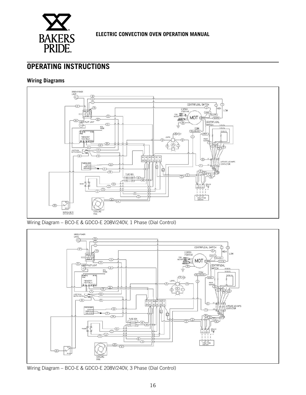

### **OPERATING INSTRUCTIONS**

#### **Wiring Diagrams**



Wiring Diagram – BCO-E & GDCO-E 208V/240V, 1 Phase (Dial Control)



Wiring Diagram – BCO-E & GDCO-E 208V/240V, 3 Phase (Dial Control)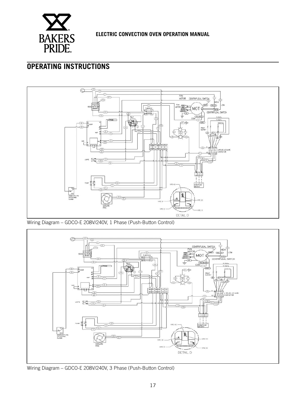

### **OPERATING INSTRUCTIONS**



Wiring Diagram – GDCO-E 208V/240V, 1 Phase (Push-Button Control)



Wiring Diagram – GDCO-E 208V/240V, 3 Phase (Push-Button Control)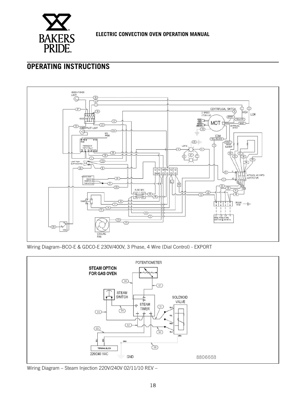

### **OPERATING INSTRUCTIONS**



Wiring Diagram–BCO-E & GDCO-E 230V/400V, 3 Phase, 4 Wire (Dial Control) - EXPORT



Wiring Diagram – Steam Injection 220V/240V 02/11/10 REV –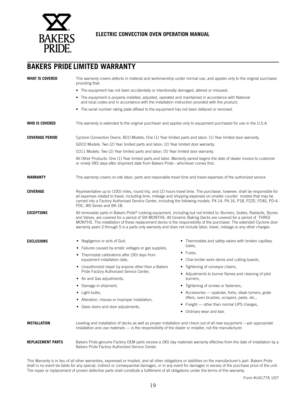

### **BAKERS PRIDE LIMITED WARRANTY**

| <b>WHAT IS COVERED</b>   | This warranty covers defects in material and workmanship under normal use, and applies only to the original purchaser<br>providing that:                                                                                                                                                                                                                                                                |                                                                                                                                                                                                                                                  |  |  |  |  |  |
|--------------------------|---------------------------------------------------------------------------------------------------------------------------------------------------------------------------------------------------------------------------------------------------------------------------------------------------------------------------------------------------------------------------------------------------------|--------------------------------------------------------------------------------------------------------------------------------------------------------------------------------------------------------------------------------------------------|--|--|--|--|--|
|                          | • The equipment has not been accidentally or intentionally damaged, altered or misused;                                                                                                                                                                                                                                                                                                                 |                                                                                                                                                                                                                                                  |  |  |  |  |  |
|                          | • The equipment is properly installed, adjusted, operated and maintained in accordance with National<br>and local codes and in accordance with the installation instruction provided with the product;                                                                                                                                                                                                  |                                                                                                                                                                                                                                                  |  |  |  |  |  |
|                          | • The serial number rating plate affixed to the equipment has not been defaced or removed.                                                                                                                                                                                                                                                                                                              |                                                                                                                                                                                                                                                  |  |  |  |  |  |
| <b>WHO IS COVERED</b>    | This warranty is extended to the original purchaser and applies only to equipment purchased for use in the U.S.A.                                                                                                                                                                                                                                                                                       |                                                                                                                                                                                                                                                  |  |  |  |  |  |
| <b>COVERAGE PERIOD</b>   | Cyclone Convection Ovens: BCO Models: One (1) Year limited parts and labor; (1) Year limited door warranty.                                                                                                                                                                                                                                                                                             |                                                                                                                                                                                                                                                  |  |  |  |  |  |
|                          | GDCO Models: Two (2) Year limited parts and labor; (2) Year limited door warranty.                                                                                                                                                                                                                                                                                                                      |                                                                                                                                                                                                                                                  |  |  |  |  |  |
|                          | CO11 Models: Two (2) Year limited parts and labor; (5) Year limited door warranty.                                                                                                                                                                                                                                                                                                                      |                                                                                                                                                                                                                                                  |  |  |  |  |  |
|                          | or ninety (90) days after shipment date from Bakers Pride - whichever comes first.                                                                                                                                                                                                                                                                                                                      | All Other Products: One (1) Year limited parts and labor. Warranty period begins the date of dealer invoice to customer                                                                                                                          |  |  |  |  |  |
| <b>WARRANTY</b>          | This warranty covers on-site labor, parts and reasonable travel time and travel expenses of the authorized service                                                                                                                                                                                                                                                                                      |                                                                                                                                                                                                                                                  |  |  |  |  |  |
| <b>COVERAGE</b>          | Representative up to (100) miles, round trip, and (2) hours travel time. The purchaser, however, shall be responsible for<br>all expenses related to travel, including time, mileage and shipping expenses on smaller counter models that may be<br>carried into a Factory Authorized Service Center, including the following models: PX-14, PX-16, P18, P22S, P24S, PD-4,<br>PDC, WS Series and BK-18. |                                                                                                                                                                                                                                                  |  |  |  |  |  |
| <b>EXCEPTIONS</b>        | and Valves, are covered for a period of SIX MONTHS. All Ceramic Baking Decks are covered for a period of THREE<br>warranty years 3 through 5 is a parts only warranty and does not include labor, travel, mileage or any other charges.                                                                                                                                                                 | All removable parts in Bakers Pride® cooking equipment, including but not limited to: Burners, Grates, Radiants, Stones<br>MONTHS. The installation of these replacement decks is the responsibility of the purchaser. The extended Cyclone door |  |  |  |  |  |
| <b>EXCLUSIONS</b>        | • Negligence or acts of God,                                                                                                                                                                                                                                                                                                                                                                            | Thermostats and safety valves with broken capillary                                                                                                                                                                                              |  |  |  |  |  |
|                          | • Failures caused by erratic voltages or gas supplies,                                                                                                                                                                                                                                                                                                                                                  | tubes,                                                                                                                                                                                                                                           |  |  |  |  |  |
|                          | • Thermostat calibrations after (30) days from                                                                                                                                                                                                                                                                                                                                                          | Fuses.                                                                                                                                                                                                                                           |  |  |  |  |  |
|                          | equipment installation date,                                                                                                                                                                                                                                                                                                                                                                            | Char-broiler work decks and cutting boards,<br>$\bullet$                                                                                                                                                                                         |  |  |  |  |  |
|                          | • Unauthorized repair by anyone other than a Bakers                                                                                                                                                                                                                                                                                                                                                     | Tightening of conveyor chains,<br>$\bullet$                                                                                                                                                                                                      |  |  |  |  |  |
|                          | Pride Factory Authorized Service Center,<br>• Air and Gas adjustments,                                                                                                                                                                                                                                                                                                                                  | Adjustments to burner flames and cleaning of pilot<br>$\bullet$<br>burners.                                                                                                                                                                      |  |  |  |  |  |
|                          | • Damage in shipment,                                                                                                                                                                                                                                                                                                                                                                                   | Tightening of screws or fasteners,                                                                                                                                                                                                               |  |  |  |  |  |
|                          | • Light bulbs,                                                                                                                                                                                                                                                                                                                                                                                          | Accessories - spatulas, forks, steak turners, grate                                                                                                                                                                                              |  |  |  |  |  |
|                          | • Alteration, misuse or improper installation,<br>• Glass doors and door adjustments,                                                                                                                                                                                                                                                                                                                   | lifters, oven brushes, scrapers, peels. etc.,                                                                                                                                                                                                    |  |  |  |  |  |
|                          |                                                                                                                                                                                                                                                                                                                                                                                                         | • Freight - other than normal UPS charges,                                                                                                                                                                                                       |  |  |  |  |  |
|                          |                                                                                                                                                                                                                                                                                                                                                                                                         | Ordinary wear and tear.<br>$\bullet$                                                                                                                                                                                                             |  |  |  |  |  |
| <b>INSTALLATION</b>      | installation and use materials - is the responsibility of the dealer or installer, not the manufacturer.                                                                                                                                                                                                                                                                                                | Leveling and installation of decks as well as proper installation and check out of all new equipment —per appropriate                                                                                                                            |  |  |  |  |  |
| <b>REPLACEMENT PARTS</b> | Bakers Pride Factory Authorized Service Center.                                                                                                                                                                                                                                                                                                                                                         | Bakers Pride genuine Factory OEM parts receive a (90) day materials warranty effective from the date of installation by a                                                                                                                        |  |  |  |  |  |

This Warranty is in lieu of all other warranties, expressed or implied, and all other obligations or liabilities on the manufacturer's part. Bakers Pride shall in no event be liable for any special, indirect or consequential damages, or in any event for damages in excess of the purchase price of the unit. The repair or replacement of proven defective parts shall constitute a fulfillment of all obligations under the terms of this warranty.